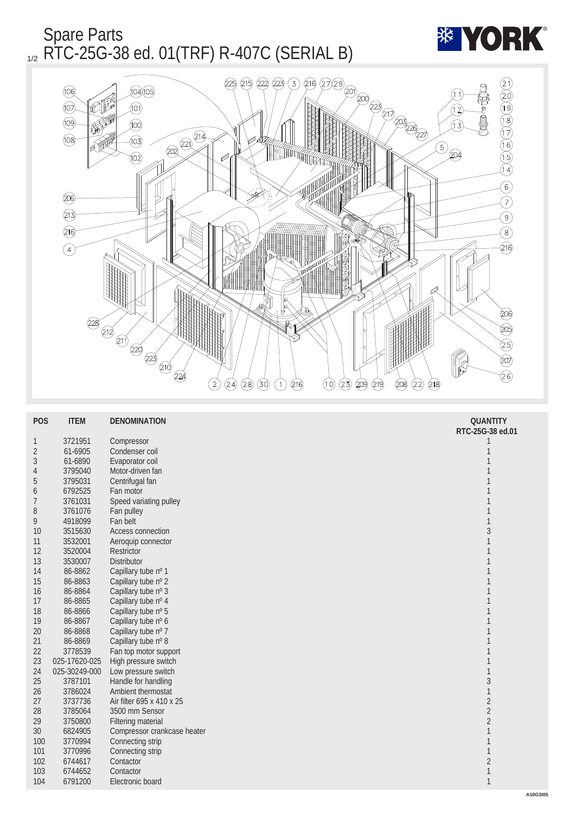



| <b>POS</b>       | <b>ITEM</b>   | <b>DENOMINATION</b>         | <b>QUANTITY</b><br>RTC-25G-38 ed.01 |
|------------------|---------------|-----------------------------|-------------------------------------|
| $\mathbf{1}$     | 3721951       | Compressor                  | 1                                   |
| $\boldsymbol{2}$ | 61-6905       | Condenser coil              | 1                                   |
| 3                | 61-6890       | Evaporator coil             | 1                                   |
| 4                | 3795040       | Motor-driven fan            | 1                                   |
| $\overline{5}$   | 3795031       | Centrifugal fan             | 1                                   |
| 6                | 6792525       | Fan motor                   | 1                                   |
| $\overline{7}$   | 3761031       | Speed variating pulley      | 1                                   |
| 8                | 3761076       | Fan pulley                  | 1                                   |
| 9                | 4918099       | Fan belt                    | $\mathbf{1}$                        |
| <b>10</b>        | 3515630       | <b>Access connection</b>    | $\sqrt{3}$                          |
| 11               | 3532001       | Aeroquip connector          | $\mathbf{1}$                        |
| 12               | 3520004       | <b>Restrictor</b>           | $\mathbf{1}$                        |
| 13               | 3530007       | <b>Distributor</b>          | 1                                   |
| 14               | 86-8862       | Capillary tube nº 1         | 1                                   |
| 15               | 86-8863       | Capillary tube nº 2         | 1                                   |
| 16               | 86-8864       | Capillary tube nº 3         | $\mathbf{1}$                        |
| 17               | 86-8865       | Capillary tube nº 4         | $\mathbf{1}$                        |
| 18               | 86-8866       | Capillary tube nº 5         | 1                                   |
| 19               | 86-8867       | Capillary tube nº 6         | 1                                   |
| 20               | 86-8868       | Capillary tube nº 7         | 1                                   |
| 21               | 86-8869       | Capillary tube nº 8         | 1                                   |
| 22               | 3778539       | Fan top motor support       | $\mathbf{1}$                        |
| 23               | 025-17620-025 | High pressure switch        | 1                                   |
| 24               | 025-30249-000 | Low pressure switch         | $\mathbf{1}$                        |
| $25\,$           | 3787101       | Handle for handling         | $\overline{3}$                      |
| 26               | 3786024       | Ambient thermostat          | $\mathbf{1}$                        |
| 27               | 3737736       | Air filter 695 x 410 x 25   | $\sqrt{2}$                          |
| 28               | 3785064       | 3500 mm Sensor              | $\overline{c}$                      |
| 29               | 3750800       | <b>Filtering material</b>   | $\sqrt{2}$                          |
| 30               | 6824905       | Compressor crankcase heater | 1                                   |
| 100              | 3770994       | Connecting strip            | 1                                   |
| 101              | 3770996       | Connecting strip            | $\mathbf{1}$                        |
| 102              | 6744617       | Contactor                   | $\boldsymbol{2}$                    |
| 103              | 6744652       | Contactor                   | $\mathbf{1}$                        |
| 104              | 6791200       | Electronic board            | $\mathbf{1}$                        |
|                  |               |                             |                                     |

**\*\* YORK**